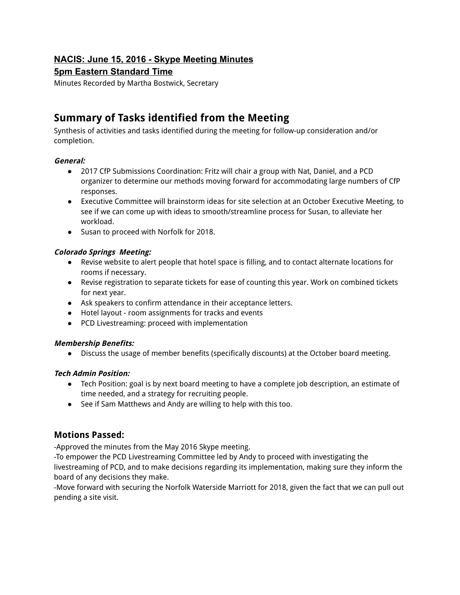## **NACIS: June 15, 2016 Skype Meeting Minutes**

## **5pm Eastern Standard Time**

Minutes Recorded by Martha Bostwick, Secretary

# **Summary of Tasks identified from the Meeting**

Synthesis of activities and tasks identified during the meeting for follow-up consideration and/or completion.

## **General:**

- 2017 CfP Submissions Coordination: Fritz will chair a group with Nat, Daniel, and a PCD organizer to determine our methods moving forward for accommodating large numbers of CfP responses.
- Executive Committee will brainstorm ideas for site selection at an October Executive Meeting, to see if we can come up with ideas to smooth/streamline process for Susan, to alleviate her workload.
- Susan to proceed with Norfolk for 2018.

## **Colorado Springs Meeting:**

- Revise website to alert people that hotel space is filling, and to contact alternate locations for rooms if necessary.
- Revise registration to separate tickets for ease of counting this year. Work on combined tickets for next year.
- Ask speakers to confirm attendance in their acceptance letters.
- Hotel layout room assignments for tracks and events
- PCD Livestreaming: proceed with implementation

## **Membership Benefits:**

● Discuss the usage of member benefits (specifically discounts) at the October board meeting.

## **Tech Admin Position:**

- Tech Position: goal is by next board meeting to have a complete job description, an estimate of time needed, and a strategy for recruiting people.
- See if Sam Matthews and Andy are willing to help with this too.

## **Motions Passed:**

-Approved the minutes from the May 2016 Skype meeting.

-To empower the PCD Livestreaming Committee led by Andy to proceed with investigating the livestreaming of PCD, and to make decisions regarding its implementation, making sure they inform the board of any decisions they make.

-Move forward with securing the Norfolk Waterside Marriott for 2018, given the fact that we can pull out pending a site visit.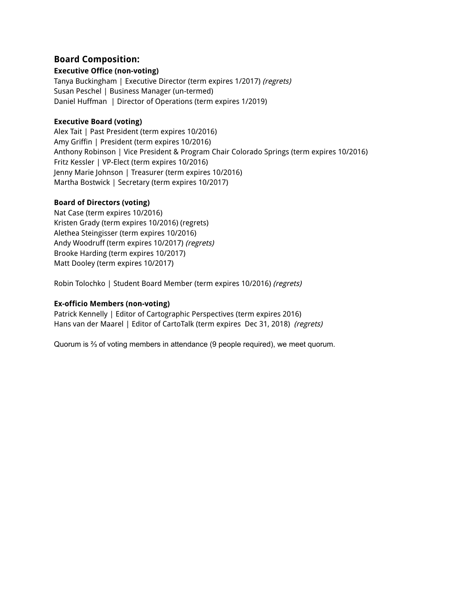## **Board Composition:**

### **Executive Office (non-voting)**

Tanya Buckingham | Executive Director (term expires 1/2017) (regrets) Susan Peschel | Business Manager (un-termed) Daniel Huffman | Director of Operations (term expires 1/2019)

### **Executive Board (voting)**

Alex Tait | Past President (term expires 10/2016) Amy Griffin | President (term expires 10/2016) Anthony Robinson | Vice President & Program Chair Colorado Springs (term expires 10/2016) Fritz Kessler | VP-Elect (term expires 10/2016) Jenny Marie Johnson | Treasurer (term expires 10/2016) Martha Bostwick | Secretary (term expires 10/2017)

## **Board of Directors (voting)**

Nat Case (term expires 10/2016) Kristen Grady (term expires 10/2016) (regrets) Alethea Steingisser (term expires 10/2016) Andy Woodruff (term expires 10/2017) (regrets) Brooke Harding (term expires 10/2017) Matt Dooley (term expires 10/2017)

Robin Tolochko | Student Board Member (term expires 10/2016) (regrets)

## **Ex-officio Members (non-voting)**

Patrick Kennelly | Editor of Cartographic Perspectives (term expires 2016) Hans van der Maarel | Editor of CartoTalk (term expires Dec 31, 2018) (regrets)

Quorum is ⅔ of voting members in attendance (9 people required), we meet quorum.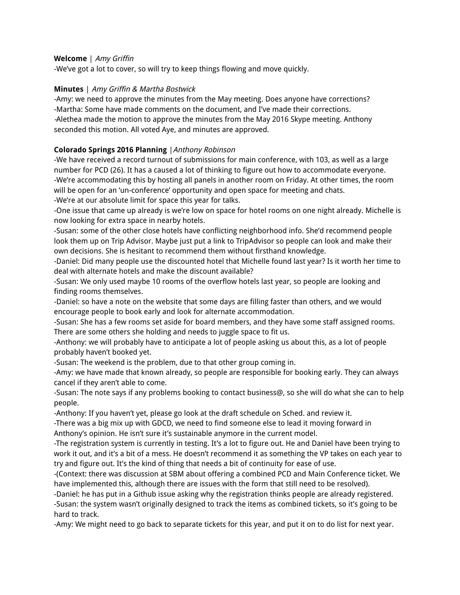#### **Welcome** | Amy Griffin

-We've got a lot to cover, so will try to keep things flowing and move quickly.

#### **Minutes** | Amy Griffin & Martha Bostwick

-Amy: we need to approve the minutes from the May meeting. Does anyone have corrections? -Martha: Some have made comments on the document, and I've made their corrections. -Alethea made the motion to approve the minutes from the May 2016 Skype meeting. Anthony seconded this motion. All voted Aye, and minutes are approved.

#### **Colorado Springs 2016 Planning** |Anthony Robinson

-We have received a record turnout of submissions for main conference, with 103, as well as a large number for PCD (26). It has a caused a lot of thinking to figure out how to accommodate everyone. -We're accommodating this by hosting all panels in another room on Friday. At other times, the room will be open for an 'un-conference' opportunity and open space for meeting and chats. -We're at our absolute limit for space this year for talks.

-One issue that came up already is we're low on space for hotel rooms on one night already. Michelle is now looking for extra space in nearby hotels.

-Susan: some of the other close hotels have conflicting neighborhood info. She'd recommend people look them up on Trip Advisor. Maybe just put a link to TripAdvisor so people can look and make their own decisions. She is hesitant to recommend them without firsthand knowledge.

-Daniel: Did many people use the discounted hotel that Michelle found last year? Is it worth her time to deal with alternate hotels and make the discount available?

-Susan: We only used maybe 10 rooms of the overflow hotels last year, so people are looking and finding rooms themselves.

-Daniel: so have a note on the website that some days are filling faster than others, and we would encourage people to book early and look for alternate accommodation.

-Susan: She has a few rooms set aside for board members, and they have some staff assigned rooms. There are some others she holding and needs to juggle space to fit us.

-Anthony: we will probably have to anticipate a lot of people asking us about this, as a lot of people probably haven't booked yet.

-Susan: The weekend is the problem, due to that other group coming in.

-Amy: we have made that known already, so people are responsible for booking early. They can always cancel if they aren't able to come.

-Susan: The note says if any problems booking to contact business@, so she will do what she can to help people.

-Anthony: If you haven't yet, please go look at the draft schedule on Sched. and review it.

-There was a big mix up with GDCD, we need to find someone else to lead it moving forward in Anthony's opinion. He isn't sure it's sustainable anymore in the current model.

-The registration system is currently in testing. It's a lot to figure out. He and Daniel have been trying to work it out, and it's a bit of a mess. He doesn't recommend it as something the VP takes on each year to try and figure out. It's the kind of thing that needs a bit of continuity for ease of use.

-(Context: there was discussion at SBM about offering a combined PCD and Main Conference ticket. We have implemented this, although there are issues with the form that still need to be resolved).

-Daniel: he has put in a Github issue asking why the registration thinks people are already registered. -Susan: the system wasn't originally designed to track the items as combined tickets, so it's going to be hard to track.

-Amy: We might need to go back to separate tickets for this year, and put it on to do list for next year.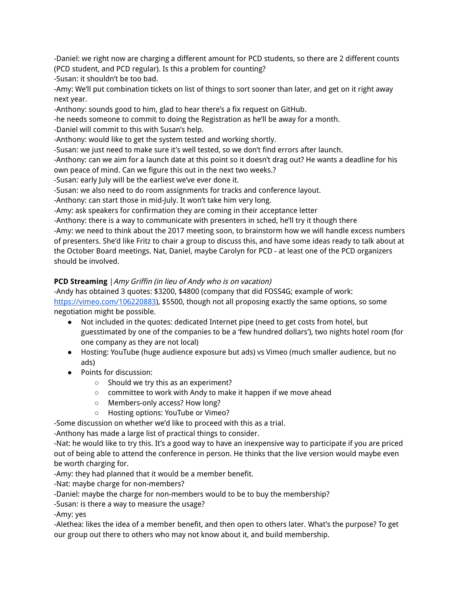-Daniel: we right now are charging a different amount for PCD students, so there are 2 different counts (PCD student, and PCD regular). Is this a problem for counting?

-Susan: it shouldn't be too bad.

-Amy: We'll put combination tickets on list of things to sort sooner than later, and get on it right away next year.

-Anthony: sounds good to him, glad to hear there's a fix request on GitHub.

-he needs someone to commit to doing the Registration as he'll be away for a month.

-Daniel will commit to this with Susan's help.

-Anthony: would like to get the system tested and working shortly.

-Susan: we just need to make sure it's well tested, so we don't find errors after launch.

-Anthony: can we aim for a launch date at this point so it doesn't drag out? He wants a deadline for his own peace of mind. Can we figure this out in the next two weeks.?

-Susan: early July will be the earliest we've ever done it.

-Susan: we also need to do room assignments for tracks and conference layout.

-Anthony: can start those in mid-July. It won't take him very long.

-Amy: ask speakers for confirmation they are coming in their acceptance letter

-Anthony: there is a way to communicate with presenters in sched, he'll try it though there

-Amy: we need to think about the 2017 meeting soon, to brainstorm how we will handle excess numbers of presenters. She'd like Fritz to chair a group to discuss this, and have some ideas ready to talk about at the October Board meetings. Nat, Daniel, maybe Carolyn for PCD - at least one of the PCD organizers should be involved.

## **PCD Streaming** | Amy Griffin (in lieu of Andy who is on vacation)

-Andy has obtained 3 quotes: \$3200, \$4800 (company that did FOSS4G; example of work: https://vimeo.com/106220883), \$5500, though not all proposing exactly the same options, so some negotiation might be possible.

- Not included in the quotes: dedicated Internet pipe (need to get costs from hotel, but guesstimated by one of the companies to be a 'few hundred dollars'), two nights hotel room (for one company as they are not local)
- Hosting: YouTube (huge audience exposure but ads) vs Vimeo (much smaller audience, but no ads)
- Points for discussion:
	- Should we try this as an experiment?
	- committee to work with Andy to make it happen if we move ahead
	- Members-only access? How long?
	- Hosting options: YouTube or Vimeo?

-Some discussion on whether we'd like to proceed with this as a trial.

-Anthony has made a large list of practical things to consider.

-Nat: he would like to try this. It's a good way to have an inexpensive way to participate if you are priced out of being able to attend the conference in person. He thinks that the live version would maybe even be worth charging for.

-Amy: they had planned that it would be a member benefit.

-Nat: maybe charge for non-members?

-Daniel: maybe the charge for non-members would to be to buy the membership?

-Susan: is there a way to measure the usage?

-Amy: yes

-Alethea: likes the idea of a member benefit, and then open to others later. What's the purpose? To get our group out there to others who may not know about it, and build membership.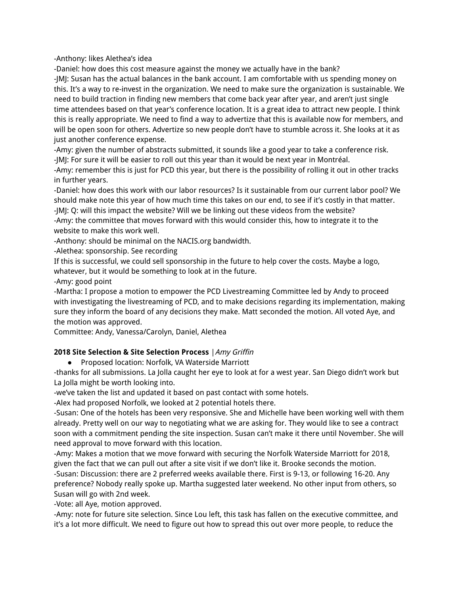-Anthony: likes Alethea's idea

-Daniel: how does this cost measure against the money we actually have in the bank?

-JMJ: Susan has the actual balances in the bank account. I am comfortable with us spending money on this. It's a way to re-invest in the organization. We need to make sure the organization is sustainable. We need to build traction in finding new members that come back year after year, and aren't just single time attendees based on that year's conference location. It is a great idea to attract new people. I think this is really appropriate. We need to find a way to advertize that this is available now for members, and will be open soon for others. Advertize so new people don't have to stumble across it. She looks at it as just another conference expense.

-Amy: given the number of abstracts submitted, it sounds like a good year to take a conference risk. -JMJ: For sure it will be easier to roll out this year than it would be next year in Montréal.

-Amy: remember this is just for PCD this year, but there is the possibility of rolling it out in other tracks in further years.

-Daniel: how does this work with our labor resources? Is it sustainable from our current labor pool? We should make note this year of how much time this takes on our end, to see if it's costly in that matter. -JMJ: Q: will this impact the website? Will we be linking out these videos from the website?

-Amy: the committee that moves forward with this would consider this, how to integrate it to the website to make this work well.

-Anthony: should be minimal on the NACIS.org bandwidth.

-Alethea: sponsorship. See recording

If this is successful, we could sell sponsorship in the future to help cover the costs. Maybe a logo, whatever, but it would be something to look at in the future.

-Amy: good point

-Martha: I propose a motion to empower the PCD Livestreaming Committee led by Andy to proceed with investigating the livestreaming of PCD, and to make decisions regarding its implementation, making sure they inform the board of any decisions they make. Matt seconded the motion. All voted Aye, and the motion was approved.

Committee: Andy, Vanessa/Carolyn, Daniel, Alethea

## **2018 Site Selection & Site Selection Process** |Amy Griffin

● Proposed location: Norfolk, VA Waterside Marriott

-thanks for all submissions. La Jolla caught her eye to look at for a west year. San Diego didn't work but La Jolla might be worth looking into.

-we've taken the list and updated it based on past contact with some hotels.

-Alex had proposed Norfolk, we looked at 2 potential hotels there.

-Susan: One of the hotels has been very responsive. She and Michelle have been working well with them already. Pretty well on our way to negotiating what we are asking for. They would like to see a contract soon with a commitment pending the site inspection. Susan can't make it there until November. She will need approval to move forward with this location.

-Amy: Makes a motion that we move forward with securing the Norfolk Waterside Marriott for 2018, given the fact that we can pull out after a site visit if we don't like it. Brooke seconds the motion. -Susan: Discussion: there are 2 preferred weeks available there. First is 9-13, or following 16-20. Any preference? Nobody really spoke up. Martha suggested later weekend. No other input from others, so Susan will go with 2nd week.

-Vote: all Aye, motion approved.

-Amy: note for future site selection. Since Lou left, this task has fallen on the executive committee, and it's a lot more difficult. We need to figure out how to spread this out over more people, to reduce the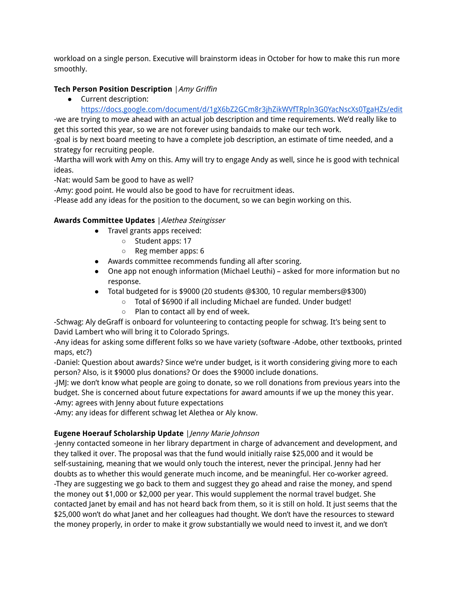workload on a single person. Executive will brainstorm ideas in October for how to make this run more smoothly.

## **Tech Person Position Description** |Amy Griffin

- Current description:
	- https://docs.google.com/document/d/1gX6bZ2GCm8r3jhZikWVfTRpln3G0YacNscXs0TgaHZs/edit

-we are trying to move ahead with an actual job description and time requirements. We'd really like to get this sorted this year, so we are not forever using bandaids to make our tech work.

-goal is by next board meeting to have a complete job description, an estimate of time needed, and a strategy for recruiting people.

-Martha will work with Amy on this. Amy will try to engage Andy as well, since he is good with technical ideas.

-Nat: would Sam be good to have as well?

-Amy: good point. He would also be good to have for recruitment ideas.

-Please add any ideas for the position to the document, so we can begin working on this.

## **Awards Committee Updates** |Alethea Steingisser

- Travel grants apps received:
	- Student apps: 17
	- Reg member apps: 6
- Awards committee recommends funding all after scoring.
- One app not enough information (Michael Leuthi) asked for more information but no response.
- Total budgeted for is \$9000 (20 students @\$300, 10 regular members@\$300)
	- Total of \$6900 if all including Michael are funded. Under budget!
	- Plan to contact all by end of week.

-Schwag: Aly deGraff is onboard for volunteering to contacting people for schwag. It's being sent to David Lambert who will bring it to Colorado Springs.

-Any ideas for asking some different folks so we have variety (software -Adobe, other textbooks, printed maps, etc?)

-Daniel: Question about awards? Since we're under budget, is it worth considering giving more to each person? Also, is it \$9000 plus donations? Or does the \$9000 include donations.

-JMJ: we don't know what people are going to donate, so we roll donations from previous years into the budget. She is concerned about future expectations for award amounts if we up the money this year.

-Amy: agrees with Jenny about future expectations

-Amy: any ideas for different schwag let Alethea or Aly know.

## **Eugene Hoerauf Scholarship Update** |Jenny Marie Johnson

-Jenny contacted someone in her library department in charge of advancement and development, and they talked it over. The proposal was that the fund would initially raise \$25,000 and it would be self-sustaining, meaning that we would only touch the interest, never the principal. Jenny had her doubts as to whether this would generate much income, and be meaningful. Her co-worker agreed. -They are suggesting we go back to them and suggest they go ahead and raise the money, and spend the money out \$1,000 or \$2,000 per year. This would supplement the normal travel budget. She contacted Janet by email and has not heard back from them, so it is still on hold. It just seems that the \$25,000 won't do what Janet and her colleagues had thought. We don't have the resources to steward the money properly, in order to make it grow substantially we would need to invest it, and we don't